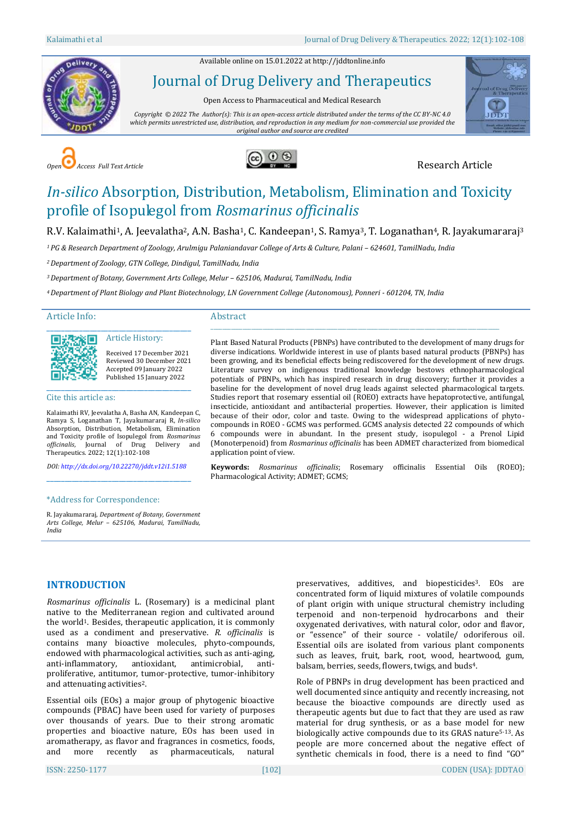Available online on 15.01.2022 a[t http://jddtonline.info](http://jddtonline.info/)



Journal of Drug Delivery and Therapeutics

Open Access to Pharmaceutical and Medical Research

*Copyright © 2022 The Author(s): This is an open-access article distributed under the terms of the CC BY-NC 4.0 which permits unrestricted use, distribution, and reproduction in any medium for non-commercial use provided the original author and source are credited*







# *In-silico* Absorption, Distribution, Metabolism, Elimination and Toxicity profile of Isopulegol from *Rosmarinus officinalis*

R.V. Kalaimathi<sup>1</sup>, A. Jeevalatha<sup>2</sup>, A.N. Basha<sup>1</sup>, C. Kandeepan<sup>1</sup>, S. Ramya<sup>3</sup>, T. Loganathan<sup>4</sup>, R. Jayakumararaj<sup>3</sup>

*<sup>1</sup>PG & Research Department of Zoology, Arulmigu Palaniandavar College of Arts & Culture, Palani – 624601, TamilNadu, India*

*<sup>2</sup>Department of Zoology, GTN College, Dindigul, TamilNadu, India*

*<sup>3</sup>Department of Botany, Government Arts College, Melur – 625106, Madurai, TamilNadu, India*

*<sup>4</sup>Department of Plant Biology and Plant Biotechnology, LN Government College (Autonomous), Ponneri - 601204, TN, India*

Article Info:

#### Abstract \_\_\_\_\_\_\_\_\_\_\_\_\_\_\_\_\_\_\_\_\_\_\_\_\_\_\_\_\_\_\_\_\_\_\_\_\_\_\_\_\_\_\_\_\_\_\_\_\_\_\_\_\_\_\_\_\_\_\_\_\_\_\_\_\_\_\_\_\_\_\_\_\_\_\_\_\_\_\_\_\_\_\_\_\_\_\_\_\_\_\_\_\_\_\_\_\_\_\_\_



Received 17 December 2021 Reviewed 30 December 2021 Accepted 09 January 2022 Published 15 January 2022

#### Cite this article as:

Kalaimathi RV, Jeevalatha A, Basha AN, Kandeepan C, Ramya S, Loganathan T, Jayakumararaj R, *In-silico* Absorption, Distribution, Metabolism, Elimination and Toxicity profile of Isopulegol from *Rosmarinus officinalis*, Journal of Drug Delivery and Therapeutics. 2022; 12(1):102-108

\_\_\_\_\_\_\_\_\_\_\_\_\_\_\_\_\_\_\_\_\_\_\_\_\_\_\_\_\_\_\_\_\_\_\_\_\_\_\_\_ Article History:

*DOI[: http://dx.doi.org/10.22270/jddt.v12i1.5188](http://dx.doi.org/10.22270/jddt.v12i1.5188)*  \_\_\_\_\_\_\_\_\_\_\_\_\_\_\_\_\_\_\_\_\_\_\_\_\_\_\_\_\_\_\_\_\_\_\_\_\_\_\_\_

#### \*Address for Correspondence:

R. Jayakumararaj, *Department of Botany, Government Arts College, Melur – 625106, Madurai, TamilNadu, India*

Plant Based Natural Products (PBNPs) have contributed to the development of many drugs for diverse indications. Worldwide interest in use of plants based natural products (PBNPs) has been growing, and its beneficial effects being rediscovered for the development of new drugs. Literature survey on indigenous traditional knowledge bestows ethnopharmacological potentials of PBNPs, which has inspired research in drug discovery; further it provides a baseline for the development of novel drug leads against selected pharmacological targets. Studies report that rosemary essential oil (ROEO) extracts have hepatoprotective, antifungal, insecticide, antioxidant and antibacterial properties. However, their application is limited because of their odor, color and taste. Owing to the widespread applications of phytocompounds in ROEO - GCMS was performed. GCMS analysis detected 22 compounds of which 6 compounds were in abundant. In the present study, isopulegol - a Prenol Lipid (Monoterpenoid) from *Rosmarinus officinalis* has been ADMET characterized from biomedical application point of view.

**Keywords:** *[Rosmarinus officinalis](http://legacy.tropicos.org/NamePage.aspx?nameid=17600561)*; Rosemary officinalis Essential Oils (ROEO); Pharmacological Activity; ADMET; GCMS;

### **INTRODUCTION**

*Rosmarinus officinalis* L. (Rosemary) is a medicinal plant native to the Mediterranean region and cultivated around the world<sup>1</sup>. Besides, therapeutic application, it is commonly used as a condiment and preservative. *R. officinalis* is contains many bioactive molecules, phyto-compounds, endowed with pharmacological activities, such as anti-aging, anti-inflammatory, antioxidant, antimicrobial, antiproliferative, antitumor, tumor-protective, tumor-inhibitory and attenuating activities2.

Essential oils (EOs) a major group of phytogenic bioactive compounds (PBAC) have been used for variety of purposes over thousands of years. Due to their strong aromatic properties and bioactive nature, EOs has been used in aromatherapy, as flavor and fragrances in cosmetics, foods, and more recently as pharmaceuticals, natural

preservatives, additives, and biopesticides<sup>3</sup>. EOs are concentrated form of liquid mixtures of volatile compounds of plant origin with unique structural chemistry including terpenoid and non-terpenoid hydrocarbons and their oxygenated derivatives, with natural color, odor and flavor, or "essence" of their source - volatile/ odoriferous oil. Essential oils are isolated from various plant components such as leaves, fruit, bark, root, wood, heartwood, gum, balsam, berries, seeds, flowers, twigs, and buds4.

Role of PBNPs in drug development has been practiced and well documented since antiquity and recently increasing, not because the bioactive compounds are directly used as therapeutic agents but due to fact that they are used as raw material for drug synthesis, or as a base model for new biologically active compounds due to its GRAS nature5-13. As people are more concerned about the negative effect of synthetic chemicals in food, there is a need to find "GO"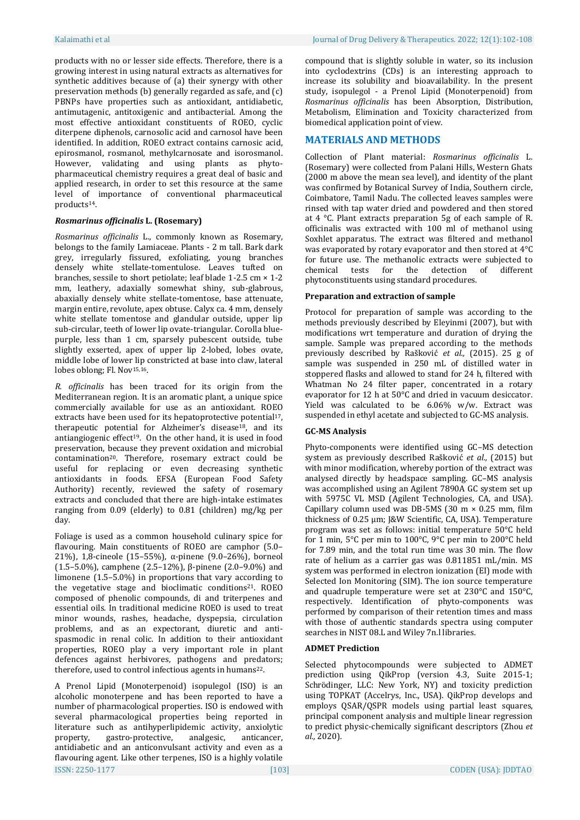products with no or lesser side effects. Therefore, there is a growing interest in using natural extracts as alternatives for synthetic additives because of (a) their synergy with other preservation methods (b) generally regarded as safe, and (c) PBNPs have properties such as antioxidant, antidiabetic, antimutagenic, antitoxigenic and antibacterial. Among the most effective antioxidant constituents of ROEO, cyclic diterpene diphenols, carnosolic acid and carnosol have been identified. In addition, ROEO extract contains carnosic acid, epirosmanol, rosmanol, methylcarnosate and isorosmanol. However, validating and using plants as phytopharmaceutical chemistry requires a great deal of basic and applied research, in order to set this resource at the same level of importance of conventional pharmaceutical products14.

#### *[Rosmarinus officinalis](http://legacy.tropicos.org/NamePage.aspx?nameid=17600561)* **L. (Rosemary)**

*Rosmarinus officinalis* L., commonly known as Rosemary, belongs to the family Lamiaceae. Plants - 2 m tall. Bark dark grey, irregularly fissured, exfoliating, young branches densely white stellate-tomentulose. Leaves tufted on branches, sessile to short petiolate; leaf blade 1-2.5 cm × 1-2 mm, leathery, adaxially somewhat shiny, sub-glabrous, abaxially densely white stellate-tomentose, base attenuate, margin entire, revolute, apex obtuse. Calyx ca. 4 mm, densely white stellate tomentose and glandular outside, upper lip sub-circular, teeth of lower lip ovate-triangular. Corolla bluepurple, less than 1 cm, sparsely pubescent outside, tube slightly exserted, apex of upper lip 2-lobed, lobes ovate, middle lobe of lower lip constricted at base into claw, lateral lobes oblong; Fl. Nov<sup>15,16</sup>.

*R. officinalis* has been traced for its origin from the Mediterranean region. It is an aromatic plant, a unique spice commercially available for use as an antioxidant. ROEO extracts have been used for its hepatoprotective potential<sup>17</sup>, therapeutic potential for Alzheimer's disease18, and its antiangiogenic effect<sup>19</sup>. On the other hand, it is used in food preservation, because they prevent oxidation and microbial contamination20. Therefore, rosemary extract could be useful for replacing or even decreasing synthetic antioxidants in foods. EFSA (European Food Safety Authority) recently, reviewed the safety of rosemary extracts and concluded that there are high-intake estimates ranging from 0.09 (elderly) to 0.81 (children) mg/kg per day.

Foliage is used as a common household culinary spice for flavouring. Main constituents of ROEO are camphor (5.0– 21%), 1,8-cineole (15–55%), α-pinene (9.0–26%), borneol (1.5–5.0%), camphene (2.5–12%), β-pinene (2.0–9.0%) and limonene (1.5–5.0%) in proportions that vary according to the vegetative stage and bioclimatic conditions21. ROEO composed of phenolic compounds, di and triterpenes and essential oils. In traditional medicine ROEO is used to treat minor wounds, rashes, headache, dyspepsia, circulation problems, and as an expectorant, diuretic and antispasmodic in renal colic. In addition to their antioxidant properties, ROEO play a very important role in plant defences against herbivores, pathogens and predators; therefore, used to control infectious agents in humans<sup>22</sup>.

ISSN: 2250-1177 [103] CODEN (USA): JDDTAO A Prenol Lipid (Monoterpenoid) isopulegol (ISO) is an alcoholic monoterpene and has been reported to have a number of pharmacological properties. ISO is endowed with several pharmacological properties being reported in literature such as antihyperlipidemic activity, anxiolytic property, gastro-protective, analgesic, anticancer, antidiabetic and an anticonvulsant activity and even as a flavouring agent. Like other terpenes, ISO is a highly volatile

compound that is slightly soluble in water, so its inclusion into cyclodextrins (CDs) is an interesting approach to increase its solubility and bioavailability. In the present study, isopulegol - a Prenol Lipid (Monoterpenoid) from *Rosmarinus officinalis* has been Absorption, Distribution, Metabolism, Elimination and Toxicity characterized from biomedical application point of view.

#### **MATERIALS AND METHODS**

Collection of Plant material: *Rosmarinus officinalis* L. (Rosemary) were collected from Palani Hills, Western Ghats (2000 m above the mean sea level), and identity of the plant was confirmed by Botanical Survey of India, Southern circle, Coimbatore, Tamil Nadu. The collected leaves samples were rinsed with tap water dried and powdered and then stored at 4 °C. Plant extracts preparation 5g of each sample of R. officinalis was extracted with 100 ml of methanol using Soxhlet apparatus. The extract was filtered and methanol was evaporated by rotary evaporator and then stored at 4°C for future use. The methanolic extracts were subjected to chemical tests for the detection of different phytoconstituents using standard procedures.

#### **Preparation and extraction of sample**

Protocol for preparation of sample was according to the methods previously described by Eleyinmi (2007), but with modifications wrt temperature and duration of drying the sample. Sample was prepared according to the methods previously described by Rašković *et al.,* (2015). 25 g of sample was suspended in 250 mL of distilled water in stoppered flasks and allowed to stand for 24 h, filtered with Whatman No 24 filter paper, concentrated in a rotary evaporator for 12 h at 50°C and dried in vacuum desiccator. Yield was calculated to be 6.06% w/w. Extract was suspended in ethyl acetate and subjected to GC-MS analysis.

#### **GC-MS Analysis**

Phyto-components were identified using GC–MS detection system as previously described Rašković *et al.,* (2015) but with minor modification, whereby portion of the extract was analysed directly by headspace sampling. GC–MS analysis was accomplished using an Agilent 7890A GC system set up with 5975C VL MSD (Agilent Technologies, CA, and USA). Capillary column used was DB-5MS (30 m × 0.25 mm, film thickness of 0.25 μm; J&W Scientific, CA, USA). Temperature program was set as follows: initial temperature 50°C held for 1 min, 5°C per min to 100°C, 9°C per min to 200°C held for 7.89 min, and the total run time was 30 min. The flow rate of helium as a carrier gas was 0.811851 mL/min. MS system was performed in electron ionization (EI) mode with Selected Ion Monitoring (SIM). The ion source temperature and quadruple temperature were set at 230°C and 150°C, respectively. Identification of phyto-components was performed by comparison of their retention times and mass with those of authentic standards spectra using computer searches in NIST 08.L and Wiley 7n.l libraries.

#### **ADMET Prediction**

Selected phytocompounds were subjected to ADMET prediction using QikProp (version 4.3, Suite 2015-1; Schrödinger, LLC: New York, NY) and toxicity prediction using TOPKAT (Accelrys, Inc., USA). QikProp develops and employs QSAR/QSPR models using partial least squares, principal component analysis and multiple linear regression to predict physic-chemically significant descriptors (Zhou *et al.,* 2020).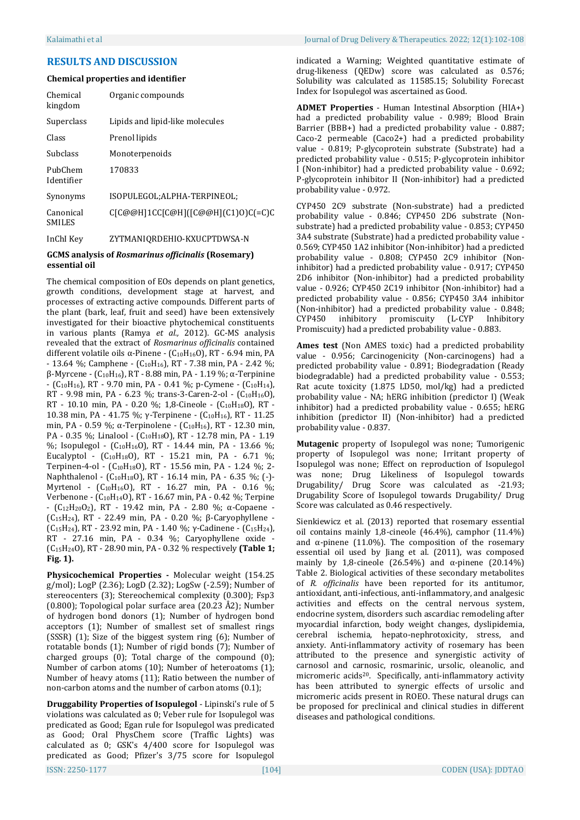#### Kalaimathi et al Journal of Drug Delivery & Therapeutics. 2022; 12(1):102-108

#### **RESULTS AND DISCUSSION**

#### **Chemical properties and identifier**

| Chemical<br>kingdom        | Organic compounds                   |
|----------------------------|-------------------------------------|
| Superclass                 | Lipids and lipid-like molecules     |
| Class                      | Prenol lipids                       |
| <b>Subclass</b>            | Monoterpenoids                      |
| PubChem<br>Identifier      | 170833                              |
| Synonyms                   | ISOPULEGOL; ALPHA-TERPINEOL;        |
| Canonical<br><b>SMILES</b> | C[C@@H]1CC[C@H]([C@@H](C1)0)C(=C)C  |
| InCHI                      | <b>7VTMAMIODDEHIO I/VHCDTDMCA N</b> |

ZYTMANIQRDEHIO-KXUCPTDWSA-N

#### **GCMS analysis of** *Rosmarinus officinalis* **(Rosemary) essential oil**

The chemical composition of EOs depends on plant genetics, growth conditions, development stage at harvest, and processes of extracting active compounds. Different parts of the plant (bark, leaf, fruit and seed) have been extensively investigated for their bioactive phytochemical constituents in various plants (Ramya *et al.,* 2012). GC-MS analysis revealed that the extract of *Rosmarinus officinalis* contained different volatile oils α-Pinene - (C<sub>10</sub>H<sub>16</sub>O), RT - 6.94 min, PA  $- 13.64$  %; Camphene  $-$  (C<sub>10</sub>H<sub>16</sub>), RT  $- 7.38$  min, PA  $- 2.42$  %;  $β$ -Myrcene - (C<sub>10</sub>H<sub>16</sub>), RT - 8.88 min, PA - 1.19 %; α-Terpinine  $-$  (C<sub>10</sub>H<sub>16</sub>), RT - 9.70 min, PA - 0.41 %; p-Cymene - (C<sub>10</sub>H<sub>14</sub>), RT - 9.98 min, PA - 6.23 %; trans-3-Caren-2-ol -  $(C_{10}H_{16}O)$ , RT - 10.10 min, PA - 0.20 %; 1,8-Cineole - (C10H18O), RT - 10.38 min, PA - 41.75 %; γ-Terpinene -  $(C_{10}H_{16})$ , RT - 11.25 min, PA - 0.59 %; α-Terpinolene -  $(C_{10}H_{16})$ , RT - 12.30 min, PA - 0.35 %; Linalool - (C10H18O), RT - 12.78 min, PA - 1.19 %; Isopulegol - (C<sub>10</sub>H<sub>16</sub>O), RT - 14.44 min, PA - 13.66 %; Eucalyptol -  $(C_{10}H_{18}O)$ , RT - 15.21 min, PA - 6.71 %; Terpinen-4-ol - (C<sub>10</sub>H<sub>18</sub>O), RT - 15.56 min, PA - 1.24 %; 2-Naphthalenol - (C10H18O), RT - 16.14 min, PA - 6.35 %; (-)- Myrtenol - (C10H16O), RT - 16.27 min, PA - 0.16 %; Verbenone - (C10H14O), RT - 16.67 min, PA - 0.42 %; Terpine - (C12H20O2), RT - 19.42 min, PA - 2.80 %; α-Copaene - (C15H24), RT - 22.49 min, PA - 0.20 %; β-Caryophyllene - (C<sub>15</sub>H<sub>24</sub>), RT - 23.92 min, PA - 1.40 %; γ-Cadinene - (C<sub>15</sub>H<sub>24</sub>), RT - 27.16 min, PA - 0.34 %; Caryophyllene oxide - (C15H24O), RT - 28.90 min, PA - 0.32 % respectively **(Table 1; Fig. 1).** 

**Physicochemical Properties -** Molecular weight (154.25 g/mol); LogP (2.36); LogD (2.32); LogSw (-2.59); Number of stereocenters (3); Stereochemical complexity (0.300); Fsp3 (0.800); Topological polar surface area (20.23 Å2); Number of hydrogen bond donors (1); Number of hydrogen bond acceptors (1); Number of smallest set of smallest rings (SSSR) (1); Size of the biggest system ring (6); Number of rotatable bonds (1); Number of rigid bonds (7); Number of charged groups (0); Total charge of the compound (0); Number of carbon atoms (10); Number of heteroatoms (1); Number of heavy atoms (11); Ratio between the number of non-carbon atoms and the number of carbon atoms (0.1);

ISSN: 2250-1177 [104] CODEN (USA): JDDTAO **Druggability Properties of Isopulegol** - Lipinski's rule of 5 violations was calculated as 0; Veber rule for Isopulegol was predicated as Good; Egan rule for Isopulegol was predicated as Good; Oral PhysChem score (Traffic Lights) was calculated as 0; GSK's 4/400 score for Isopulegol was predicated as Good; Pfizer's 3/75 score for Isopulegol

**ADMET Properties** - Human Intestinal Absorption (HIA+) had a predicted probability value - 0.989; Blood Brain Barrier (BBB+) had a predicted probability value - 0.887; Caco-2 permeable (Caco2+) had a predicted probability value - 0.819; P-glycoprotein substrate (Substrate) had a predicted probability value - 0.515; P-glycoprotein inhibitor I (Non-inhibitor) had a predicted probability value - 0.692; P-glycoprotein inhibitor II (Non-inhibitor) had a predicted probability value - 0.972.

CYP450 2C9 substrate (Non-substrate) had a predicted probability value - 0.846; CYP450 2D6 substrate (Nonsubstrate) had a predicted probability value - 0.853; CYP450 3A4 substrate (Substrate) had a predicted probability value - 0.569; CYP450 1A2 inhibitor (Non-inhibitor) had a predicted probability value - 0.808; CYP450 2C9 inhibitor (Noninhibitor) had a predicted probability value - 0.917; CYP450 2D6 inhibitor (Non-inhibitor) had a predicted probability value - 0.926; CYP450 2C19 inhibitor (Non-inhibitor) had a predicted probability value - 0.856; CYP450 3A4 inhibitor (Non-inhibitor) had a predicted probability value - 0.848; CYP450 inhibitory promiscuity (L-CYP Inhibitory Promiscuity) had a predicted probability value - 0.883.

**Ames test** (Non AMES toxic) had a predicted probability value - 0.956; Carcinogenicity (Non-carcinogens) had a predicted probability value - 0.891; Biodegradation (Ready biodegradable) had a predicted probability value - 0.553; Rat acute toxicity (1.875 LD50, mol/kg) had a predicted probability value - NA; hERG inhibition (predictor I) (Weak inhibitor) had a predicted probability value - 0.655; hERG inhibition (predictor II) (Non-inhibitor) had a predicted probability value - 0.837.

**Mutagenic** property of Isopulegol was none; Tumorigenic property of Isopulegol was none; Irritant property of Isopulegol was none; Effect on reproduction of Isopulegol was none; Drug Likeliness of Isopulegol towards Drugability/ Drug Score was calculated as -21.93; Drugability Score of Isopulegol towards Drugability/ Drug Score was calculated as 0.46 respectively.

Sienkiewicz et al. (2013) reported that rosemary essential oil contains mainly 1,8-cineole (46.4%), camphor (11.4%) and  $\alpha$ -pinene (11.0%). The composition of the rosemary essential oil used by Jiang et al. (2011), was composed mainly by 1,8-cineole (26.54%) and  $\alpha$ -pinene (20.14%) Table 2. Biological activities of these secondary metabolites of *R. officinalis* have been reported for its antitumor, antioxidant, anti-infectious, anti-inflammatory, and analgesic activities and effects on the central nervous system, endocrine system, disorders such ascardiac remodeling after myocardial infarction, body weight changes, dyslipidemia, cerebral ischemia, hepato-nephrotoxicity, stress, and anxiety. Anti-inflammatory activity of rosemary has been attributed to the presence and synergistic activity of carnosol and carnosic, rosmarinic, ursolic, oleanolic, and micromeric acids20. Specifically, anti-inflammatory activity has been attributed to synergic effects of ursolic and micromeric acids present in ROEO. These natural drugs can be proposed for preclinical and clinical studies in different diseases and pathological conditions.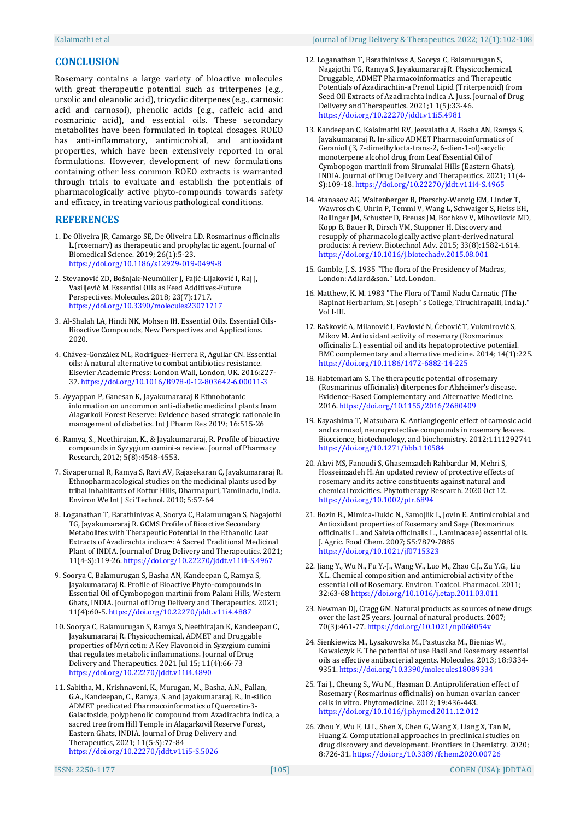#### **CONCLUSION**

Rosemary contains a large variety of bioactive molecules with great therapeutic potential such as triterpenes (e.g., ursolic and oleanolic acid), tricyclic diterpenes (e.g., carnosic acid and carnosol), phenolic acids (e.g., caffeic acid and rosmarinic acid), and essential oils. These secondary metabolites have been formulated in topical dosages. ROEO has anti-inflammatory, antimicrobial, and antioxidant properties, which have been extensively reported in oral formulations. However, development of new formulations containing other less common ROEO extracts is warranted through trials to evaluate and establish the potentials of pharmacologically active phyto-compounds towards safety and efficacy, in treating various pathological conditions.

#### **REFERENCES**

- 1. De Oliveira JR, Camargo SE, De Oliveira LD. Rosmarinus officinalis L.(rosemary) as therapeutic and prophylactic agent. Journal of Biomedical Science. 2019; 26(1):5-23. <https://doi.org/10.1186/s12929-019-0499-8>
- 2. Stevanović ZD, Bošnjak-Neumüller J, Pajić-Lijaković I, Raj J, Vasiljević M. Essential Oils as Feed Additives-Future Perspectives. Molecules. 2018; 23(7):1717. <https://doi.org/10.3390/molecules23071717>
- 3. Al-Shalah LA, Hindi NK, Mohsen IH. Essential Oils. Essential Oils-Bioactive Compounds, New Perspectives and Applications. 2020.
- 4. Chávez-González ML, Rodríguez-Herrera R, Aguilar CN. Essential oils: A natural alternative to combat antibiotics resistance. Elsevier Academic Press: London Wall, London, UK. 2016:227- 37. <https://doi.org/10.1016/B978-0-12-803642-6.00011-3>
- 5. Ayyappan P, Ganesan K, Jayakumararaj R Ethnobotanic information on uncommon anti-diabetic medicinal plants from Alagarkoil Forest Reserve: Evidence based strategic rationale in management of diabetics. Int J Pharm Res 2019; 16:515-26
- 6. Ramya, S., Neethirajan, K., & Jayakumararaj, R. Profile of bioactive compounds in Syzygium cumini-a review. Journal of Pharmacy Research, 2012; 5(8):4548-4553.
- 7. Sivaperumal R, Ramya S, Ravi AV, Rajasekaran C, Jayakumararaj R. Ethnopharmacological studies on the medicinal plants used by tribal inhabitants of Kottur Hills, Dharmapuri, Tamilnadu, India. Environ We Int J Sci Technol. 2010; 5:57-64
- 8. Loganathan T, Barathinivas A, Soorya C, Balamurugan S, Nagajothi TG, Jayakumararaj R. GCMS Profile of Bioactive Secondary Metabolites with Therapeutic Potential in the Ethanolic Leaf Extracts of Azadirachta indica¬: A Sacred Traditional Medicinal Plant of INDIA. Journal of Drug Delivery and Therapeutics. 2021; 11(4-S):119-26. <https://doi.org/10.22270/jddt.v11i4-S.4967>
- 9. Soorya C, Balamurugan S, Basha AN, Kandeepan C, Ramya S, Jayakumararaj R. Profile of Bioactive Phyto-compounds in Essential Oil of Cymbopogon martinii from Palani Hills, Western Ghats, INDIA. Journal of Drug Delivery and Therapeutics. 2021; 11(4):60-5. <https://doi.org/10.22270/jddt.v11i4.4887>
- 10. Soorya C, Balamurugan S, Ramya S, Neethirajan K, Kandeepan C, Jayakumararaj R. Physicochemical, ADMET and Druggable properties of Myricetin: A Key Flavonoid in Syzygium cumini that regulates metabolic inflammations. Journal of Drug Delivery and Therapeutics. 2021 Jul 15; 11(4):66-73 <https://doi.org/10.22270/jddt.v11i4.4890>
- 11. Sabitha, M., Krishnaveni, K., Murugan, M., Basha, A.N., Pallan, G.A., Kandeepan, C., Ramya, S. and Jayakumararaj, R., In-silico ADMET predicated Pharmacoinformatics of Quercetin-3- Galactoside, polyphenolic compound from Azadirachta indica, a sacred tree from Hill Temple in Alagarkovil Reserve Forest, Eastern Ghats, INDIA. Journal of Drug Delivery and Therapeutics, 2021; 11(5-S):77-84 <https://doi.org/10.22270/jddt.v11i5-S.5026>
- 12. Loganathan T, Barathinivas A, Soorya C, Balamurugan S, Nagajothi TG, Ramya S, Jayakumararaj R. Physicochemical, Druggable, ADMET Pharmacoinformatics and Therapeutic Potentials of Azadirachtin-a Prenol Lipid (Triterpenoid) from Seed Oil Extracts of Azadirachta indica A. Juss. Journal of Drug Delivery and Therapeutics. 2021;1 1(5):33-46. <https://doi.org/10.22270/jddt.v11i5.4981>
- 13. Kandeepan C, Kalaimathi RV, Jeevalatha A, Basha AN, Ramya S, Jayakumararaj R. In-silico ADMET Pharmacoinformatics of Geraniol (3, 7-dimethylocta-trans-2, 6-dien-1-ol)-acyclic monoterpene alcohol drug from Leaf Essential Oil of Cymbopogon martinii from Sirumalai Hills (Eastern Ghats), INDIA. Journal of Drug Delivery and Therapeutics. 2021; 11(4- S):109-18. <https://doi.org/10.22270/jddt.v11i4-S.4965>
- 14. Atanasov AG, Waltenberger B, Pferschy-Wenzig EM, Linder T, Wawrosch C, Uhrin P, Temml V, Wang L, Schwaiger S, Heiss EH, Rollinger JM, Schuster D, Breuss JM, Bochkov V, Mihovilovic MD, Kopp B, Bauer R, Dirsch VM, Stuppner H. Discovery and resupply of pharmacologically active plant-derived natural products: A review. Biotechnol Adv. 2015; 33(8):1582-1614. <https://doi.org/10.1016/j.biotechadv.2015.08.001>
- 15. Gamble, J. S. 1935 "The flora of the Presidency of Madras, London: Adlard&son." Ltd. London.
- 16. Matthew, K. M. 1983 "The Flora of Tamil Nadu Carnatic (The Rapinat Herbarium, St. Joseph" s College, Tiruchirapalli, India)." Vol I-III.
- 17. Rašković A, Milanović I, Pavlović N, Ćebović T, Vukmirović S, Mikov M. Antioxidant activity of rosemary (Rosmarinus officinalis L.) essential oil and its hepatoprotective potential. BMC complementary and alternative medicine. 2014; 14(1):225. <https://doi.org/10.1186/1472-6882-14-225>
- 18. Habtemariam S. The therapeutic potential of rosemary (Rosmarinus officinalis) diterpenes for Alzheimer's disease. Evidence-Based Complementary and Alternative Medicine. 2016. <https://doi.org/10.1155/2016/2680409>
- 19. Kayashima T, Matsubara K. Antiangiogenic effect of carnosic acid and carnosol, neuroprotective compounds in rosemary leaves. Bioscience, biotechnology, and biochemistry. 2012:1111292741 <https://doi.org/10.1271/bbb.110584>
- 20. Alavi MS, Fanoudi S, Ghasemzadeh Rahbardar M, Mehri S, Hosseinzadeh H. An updated review of protective effects of rosemary and its active constituents against natural and chemical toxicities. Phytotherapy Research. 2020 Oct 12. <https://doi.org/10.1002/ptr.6894>
- 21. Bozin B., Mimica-Dukic N., Samojlik I., Jovin E. Antimicrobial and Antioxidant properties of Rosemary and Sage (Rosmarinus officinalis L. and Salvia officinalis L., Laminaceae) essential oils. J. Agric. Food Chem. 2007; 55:7879-7885 <https://doi.org/10.1021/jf0715323>
- 22. Jiang Y., Wu N., Fu Y.-J., Wang W., Luo M., Zhao C.J., Zu Y.G., Liu X.L. Chemical composition and antimicrobial activity of the essential oil of Rosemary. Environ. Toxicol. Pharmacol. 2011; 32:63-68 <https://doi.org/10.1016/j.etap.2011.03.011>
- 23. Newman DJ, Cragg GM. Natural products as sources of new drugs over the last 25 years. Journal of natural products. 2007; 70(3):461-77. <https://doi.org/10.1021/np068054v>
- 24. Sienkiewicz M., Lysakowska M., Pastuszka M., Bienias W., Kowalczyk E. The potential of use Basil and Rosemary essential oils as effective antibacterial agents. Molecules. 2013; 18:9334- 9351. <https://doi.org/10.3390/molecules18089334>
- 25. Tai J., Cheung S., Wu M., Hasman D. Antiproliferation effect of Rosemary (Rosmarinus officinalis) on human ovarian cancer cells in vitro. Phytomedicine. 2012; 19:436-443. <https://doi.org/10.1016/j.phymed.2011.12.012>
- 26. Zhou Y, Wu F, Li L, Shen X, Chen G, Wang X, Liang X, Tan M, Huang Z. Computational approaches in preclinical studies on drug discovery and development. Frontiers in Chemistry. 2020; 8:726-31. <https://doi.org/10.3389/fchem.2020.00726>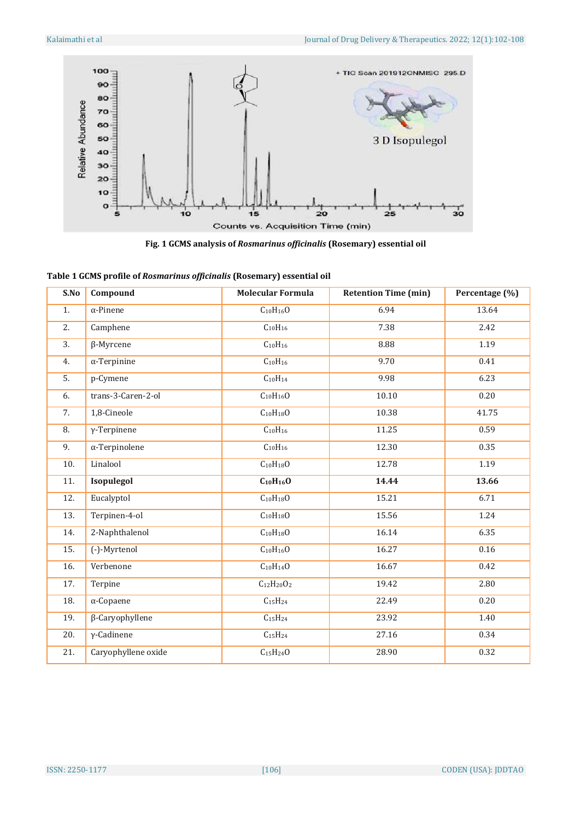

**Fig. 1 GCMS analysis of** *Rosmarinus officinalis* **(Rosemary) essential oil**

|  | Table 1 GCMS profile of Rosmarinus officinalis (Rosemary) essential oil |  |  |  |
|--|-------------------------------------------------------------------------|--|--|--|
|  |                                                                         |  |  |  |
|  |                                                                         |  |  |  |

| S.No             | Compound               | <b>Molecular Formula</b>        | <b>Retention Time (min)</b> | Percentage (%) |
|------------------|------------------------|---------------------------------|-----------------------------|----------------|
| 1.               | $\alpha$ -Pinene       | $C_{10}H_{16}O$                 | 6.94                        | 13.64          |
| $\overline{2}$ . | Camphene               | $C_{10}H_{16}$                  | 7.38                        | 2.42           |
| 3.               | $\beta$ -Myrcene       | $C_{10}H_{16}$                  | 8.88                        | 1.19           |
| 4.               | $\alpha$ -Terpinine    | $\overline{C_{10}H_{16}}$       | 9.70                        | 0.41           |
| 5.               | p-Cymene               | $C_{10}H_{14}$                  | 9.98                        | 6.23           |
| 6.               | trans-3-Caren-2-ol     | $C_{10}H_{16}O$                 | 10.10                       | 0.20           |
| 7.               | 1,8-Cineole            | $C_{10}H_{18}O$                 | 10.38                       | 41.75          |
| 8.               | $\gamma$ -Terpinene    | $C_{10}H_{16}$                  | 11.25                       | 0.59           |
| 9.               | $\alpha$ -Terpinolene  | $C_{10}H_{16}$                  | 12.30                       | 0.35           |
| 10.              | Linalool               | $C_{10}H_{18}O$                 | 12.78                       | 1.19           |
| 11.              | Isopulegol             | $C_{10}H_{16}O$                 | 14.44                       | 13.66          |
| 12.              | Eucalyptol             | $C_{10}H_{18}O$                 | 15.21                       | 6.71           |
| 13.              | Terpinen-4-ol          | $C_{10}H_{18}O$                 | 15.56                       | 1.24           |
| 14.              | 2-Naphthalenol         | $C_{10}H_{18}O$                 | 16.14                       | 6.35           |
| 15.              | (-)-Myrtenol           | $C_{10}H_{16}O$                 | 16.27                       | 0.16           |
| 16.              | Verbenone              | $C_{10}H_{14}O$                 | 16.67                       | 0.42           |
| 17.              | Terpine                | $C_{12}H_{20}O_2$               | 19.42                       | 2.80           |
| 18.              | $\alpha$ -Copaene      | C <sub>15</sub> H <sub>24</sub> | 22.49                       | 0.20           |
| 19.              | $\beta$ -Caryophyllene | $C_{15}H_{24}$                  | 23.92                       | 1.40           |
| 20.              | $\gamma$ -Cadinene     | C <sub>15</sub> H <sub>24</sub> | 27.16                       | 0.34           |
| 21.              | Caryophyllene oxide    | $C_{15}H_{24}O$                 | 28.90                       | 0.32           |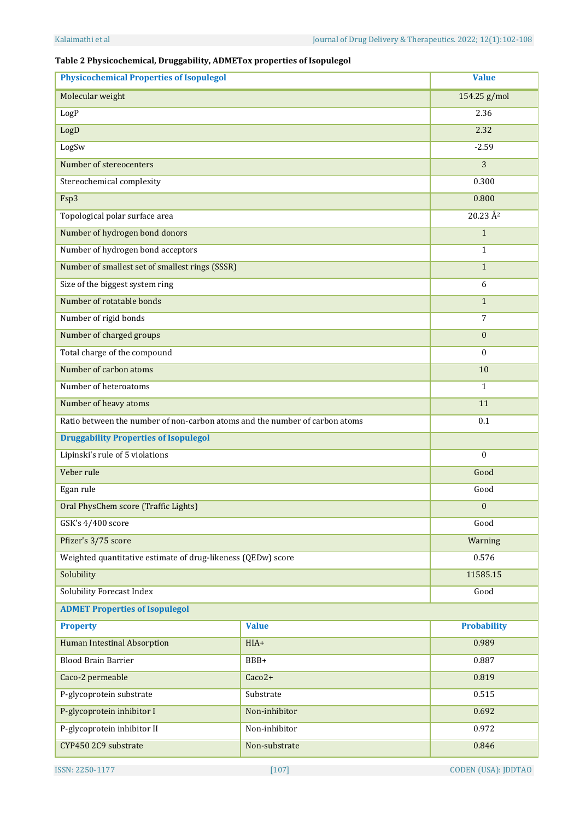## **Table 2 Physicochemical, Druggability, ADMETox properties of Isopulegol**

| <b>Physicochemical Properties of Isopulegol</b>                             | <b>Value</b>  |                            |
|-----------------------------------------------------------------------------|---------------|----------------------------|
| Molecular weight                                                            | 154.25 g/mol  |                            |
| LogP                                                                        | 2.36          |                            |
| LogD                                                                        | 2.32          |                            |
| LogSw                                                                       |               | $-2.59$                    |
| Number of stereocenters                                                     |               | 3                          |
| Stereochemical complexity                                                   |               | 0.300                      |
| Fsp3                                                                        |               | 0.800                      |
| Topological polar surface area                                              |               | $20.23 \text{ Å}^2$        |
| Number of hydrogen bond donors                                              |               | $\mathbf{1}$               |
| Number of hydrogen bond acceptors                                           |               | $\mathbf{1}$               |
| Number of smallest set of smallest rings (SSSR)                             |               | $\mathbf{1}$               |
| Size of the biggest system ring                                             |               | 6                          |
| Number of rotatable bonds                                                   |               | $\mathbf{1}$               |
| Number of rigid bonds                                                       |               | $\overline{7}$             |
| Number of charged groups                                                    |               | $\boldsymbol{0}$           |
| Total charge of the compound                                                |               | $\boldsymbol{0}$           |
| Number of carbon atoms                                                      |               | 10                         |
| Number of heteroatoms                                                       |               | $\mathbf{1}$               |
| Number of heavy atoms                                                       |               | 11                         |
| Ratio between the number of non-carbon atoms and the number of carbon atoms |               | 0.1                        |
| <b>Druggability Properties of Isopulegol</b>                                |               |                            |
| Lipinski's rule of 5 violations                                             |               | $\mathbf{0}$               |
| Veber rule                                                                  |               | Good                       |
| Egan rule                                                                   |               | Good                       |
| Oral PhysChem score (Traffic Lights)                                        |               | $\Omega$                   |
| GSK's 4/400 score                                                           |               | Good                       |
| Pfizer's 3/75 score                                                         |               | Warning                    |
| Weighted quantitative estimate of drug-likeness (QEDw) score                |               | 0.576                      |
| Solubility                                                                  | 11585.15      |                            |
| Solubility Forecast Index                                                   | Good          |                            |
| <b>ADMET Properties of Isopulegol</b>                                       |               |                            |
| <b>Property</b>                                                             | <b>Value</b>  | <b>Probability</b>         |
| <b>Human Intestinal Absorption</b>                                          | HIA+          | 0.989                      |
| <b>Blood Brain Barrier</b>                                                  | BBB+          | 0.887                      |
| Caco-2 permeable                                                            | $Caco2+$      | 0.819                      |
| P-glycoprotein substrate                                                    | Substrate     | 0.515                      |
| P-glycoprotein inhibitor I                                                  | Non-inhibitor | 0.692                      |
| P-glycoprotein inhibitor II<br>Non-inhibitor                                |               | 0.972                      |
| CYP450 2C9 substrate                                                        | Non-substrate | 0.846                      |
| ISSN: 2250-1177                                                             | $[107]$       | <b>CODEN (USA): JDDTAO</b> |